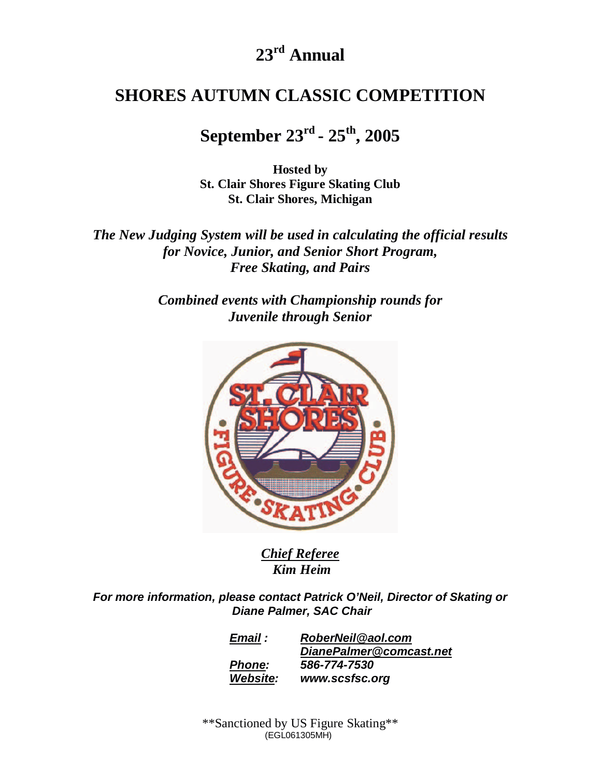# **23 rd Annual**

## **SHORES AUTUMN CLASSIC COMPETITION**

# **September 23 rd - 25 th , 2005**

**Hosted by St. Clair Shores Figure Skating Club St. Clair Shores, Michigan**

*The New Judging System will be used in calculating the official results for Novice, Junior, and Senior Short Program, Free Skating, and Pairs*

> *Combined events with Championship rounds for Juvenile through Senior*



*Chief Referee Kim Heim*

**For more information, please contact Patrick O'Neil, Director of Skating or Diane Palmer, SAC Chair**

| Email :       | RoberNeil@aol.com       |  |
|---------------|-------------------------|--|
|               | DianePalmer@comcast.net |  |
| <b>Phone:</b> | 586-774-7530            |  |
| Website:      | www.scsfsc.org          |  |

\*\*Sanctioned by US Figure Skating\*\* (EGL061305MH)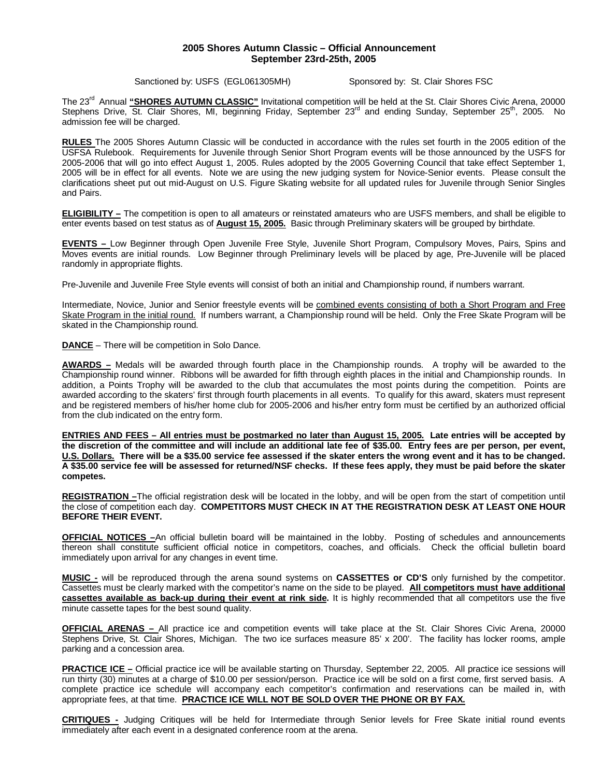#### **2005 Shores Autumn Classic – Official Announcement September 23rd-25th, 2005**

Sanctioned by: USFS (EGL061305MH) Sponsored by: St. Clair Shores FSC

The 23 rd Annual **"SHORES AUTUMN CLASSIC"** Invitational competition will be held at the St. Clair Shores Civic Arena, 20000 Stephens Drive, St. Clair Shores, MI, beginning Friday, September 23<sup>rd</sup> and ending Sunday, September 25<sup>th</sup>, 2005. No admission fee will be charged.

**RULES** The 2005 Shores Autumn Classic will be conducted in accordance with the rules set fourth in the 2005 edition of the USFSA Rulebook. Requirements for Juvenile through Senior Short Program events will be those announced by the USFS for 2005-2006 that will go into effect August 1, 2005. Rules adopted by the 2005 Governing Council that take effect September 1, 2005 will be in effect for all events. Note we are using the new judging system for Novice-Senior events. Please consult the clarifications sheet put out mid-August on U.S. Figure Skating website for all updated rules for Juvenile through Senior Singles and Pairs.

**ELIGIBILITY –** The competition is open to all amateurs or reinstated amateurs who are USFS members, and shall be eligible to enter events based on test status as of **August 15, 2005.** Basic through Preliminary skaters will be grouped by birthdate.

**EVENTS –** Low Beginner through Open Juvenile Free Style, Juvenile Short Program, Compulsory Moves, Pairs, Spins and Moves events are initial rounds. Low Beginner through Preliminary levels will be placed by age, Pre-Juvenile will be placed randomly in appropriate flights.

Pre-Juvenile and Juvenile Free Style events will consist of both an initial and Championship round, if numbers warrant.

Intermediate, Novice, Junior and Senior freestyle events will be combined events consisting of both a Short Program and Free Skate Program in the initial round. If numbers warrant, a Championship round will be held. Only the Free Skate Program will be skated in the Championship round.

**DANCE** – There will be competition in Solo Dance.

**AWARDS –** Medals will be awarded through fourth place in the Championship rounds. A trophy will be awarded to the Championship round winner. Ribbons will be awarded for fifth through eighth places in the initial and Championship rounds. In addition, a Points Trophy will be awarded to the club that accumulates the most points during the competition. Points are awarded according to the skaters' first through fourth placements in all events. To qualify for this award, skaters must represent and be registered members of his/her home club for 2005-2006 and his/her entry form must be certified by an authorized official from the club indicated on the entry form.

ENTRIES AND FEES - All entries must be postmarked no later than August 15, 2005. Late entries will be accepted by the discretion of the committee and will include an additional late fee of \$35.00. Entry fees are per person, per event, U.S. Dollars. There will be a \$35.00 service fee assessed if the skater enters the wrong event and it has to be changed. A \$35.00 service fee will be assessed for returned/NSF checks. If these fees apply, they must be paid before the skater **competes.**

**REGISTRATION –**The official registration desk will be located in the lobby, and will be open from the start of competition until the close of competition each day. **COMPETITORS MUST CHECK IN AT THE REGISTRATION DESK AT LEAST ONE HOUR BEFORE THEIR EVENT.**

**OFFICIAL NOTICES –**An official bulletin board will be maintained in the lobby. Posting of schedules and announcements thereon shall constitute sufficient official notice in competitors, coaches, and officials. Check the official bulletin board immediately upon arrival for any changes in event time.

**MUSIC -** will be reproduced through the arena sound systems on **CASSETTES or CD'S** only furnished by the competitor. Cassettes must be clearly marked with the competitor's name on the side to be played. **All competitors must have additional cassettes available as back-up during their event at rink side.** It is highly recommended that all competitors use the five minute cassette tapes for the best sound quality.

**OFFICIAL ARENAS –** All practice ice and competition events will take place at the St. Clair Shores Civic Arena, 20000 Stephens Drive, St. Clair Shores, Michigan. The two ice surfaces measure 85' x 200'. The facility has locker rooms, ample parking and a concession area.

**PRACTICE ICE –** Official practice ice will be available starting on Thursday, September 22, 2005. All practice ice sessions will run thirty (30) minutes at a charge of \$10.00 per session/person. Practice ice will be sold on a first come, first served basis. A complete practice ice schedule will accompany each competitor's confirmation and reservations can be mailed in, with appropriate fees, at that time. **PRACTICE ICE WILL NOT BE SOLD OVER THE PHONE OR BY FAX.**

**CRITIQUES -** Judging Critiques will be held for Intermediate through Senior levels for Free Skate initial round events immediately after each event in a designated conference room at the arena.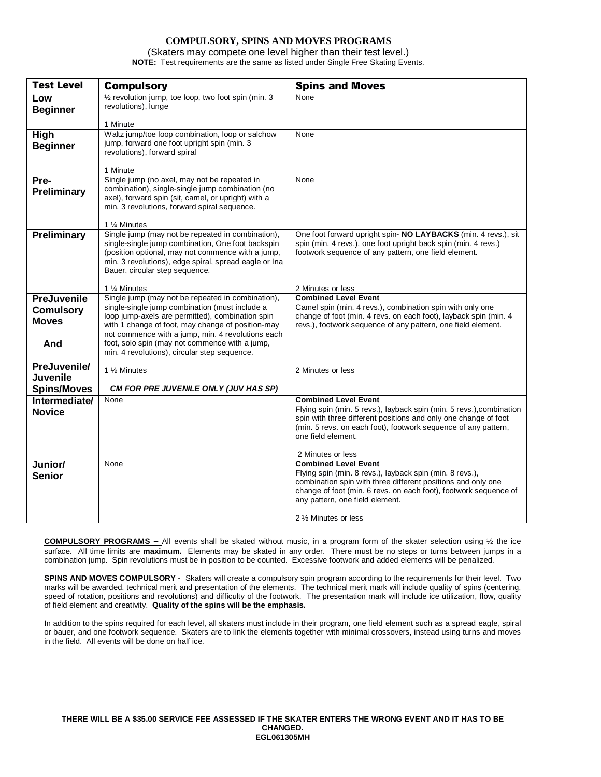#### **COMPULSORY, SPINS AND MOVES PROGRAMS**

(Skaters may compete one level higher than their test level.) **NOTE:** Test requirements are the same as listed under Single Free Skating Events.

| <b>Test Level</b>                                             | <b>Compulsory</b>                                                                                                                                                                                                                                                                                                                                                   | <b>Spins and Moves</b>                                                                                                                                                                                                                                                              |
|---------------------------------------------------------------|---------------------------------------------------------------------------------------------------------------------------------------------------------------------------------------------------------------------------------------------------------------------------------------------------------------------------------------------------------------------|-------------------------------------------------------------------------------------------------------------------------------------------------------------------------------------------------------------------------------------------------------------------------------------|
| Low<br><b>Beginner</b>                                        | 1/2 revolution jump, toe loop, two foot spin (min. 3<br>revolutions), lunge                                                                                                                                                                                                                                                                                         | None                                                                                                                                                                                                                                                                                |
|                                                               | 1 Minute                                                                                                                                                                                                                                                                                                                                                            |                                                                                                                                                                                                                                                                                     |
| High<br><b>Beginner</b>                                       | Waltz jump/toe loop combination, loop or salchow<br>jump, forward one foot upright spin (min. 3<br>revolutions), forward spiral                                                                                                                                                                                                                                     | None                                                                                                                                                                                                                                                                                |
|                                                               | 1 Minute                                                                                                                                                                                                                                                                                                                                                            |                                                                                                                                                                                                                                                                                     |
| Pre-<br><b>Preliminary</b>                                    | Single jump (no axel, may not be repeated in<br>combination), single-single jump combination (no<br>axel), forward spin (sit, camel, or upright) with a<br>min. 3 revolutions, forward spiral sequence.                                                                                                                                                             | None                                                                                                                                                                                                                                                                                |
|                                                               | 1 % Minutes                                                                                                                                                                                                                                                                                                                                                         |                                                                                                                                                                                                                                                                                     |
| <b>Preliminary</b>                                            | Single jump (may not be repeated in combination),<br>single-single jump combination, One foot backspin<br>(position optional, may not commence with a jump,<br>min. 3 revolutions), edge spiral, spread eagle or Ina<br>Bauer, circular step sequence.                                                                                                              | One foot forward upright spin- NO LAYBACKS (min. 4 revs.), sit<br>spin (min. 4 revs.), one foot upright back spin (min. 4 revs.)<br>footwork sequence of any pattern, one field element.                                                                                            |
|                                                               | 1 % Minutes                                                                                                                                                                                                                                                                                                                                                         | 2 Minutes or less                                                                                                                                                                                                                                                                   |
| <b>PreJuvenile</b><br><b>Comulsory</b><br><b>Moves</b><br>And | Single jump (may not be repeated in combination),<br>single-single jump combination (must include a<br>loop jump-axels are permitted), combination spin<br>with 1 change of foot, may change of position-may<br>not commence with a jump, min. 4 revolutions each<br>foot, solo spin (may not commence with a jump,<br>min. 4 revolutions), circular step sequence. | <b>Combined Level Event</b><br>Camel spin (min. 4 revs.), combination spin with only one<br>change of foot (min. 4 revs. on each foot), layback spin (min. 4<br>revs.), footwork sequence of any pattern, one field element.                                                        |
| PreJuvenile/<br><b>Juvenile</b>                               | 1 1/ <sub>2</sub> Minutes                                                                                                                                                                                                                                                                                                                                           | 2 Minutes or less                                                                                                                                                                                                                                                                   |
| <b>Spins/Moves</b>                                            | CM FOR PRE JUVENILE ONLY (JUV HAS SP)                                                                                                                                                                                                                                                                                                                               |                                                                                                                                                                                                                                                                                     |
| Intermediate/<br><b>Novice</b>                                | None                                                                                                                                                                                                                                                                                                                                                                | <b>Combined Level Event</b><br>Flying spin (min. 5 revs.), layback spin (min. 5 revs.), combination<br>spin with three different positions and only one change of foot<br>(min. 5 revs. on each foot), footwork sequence of any pattern,<br>one field element.<br>2 Minutes or less |
| Junior/                                                       | None                                                                                                                                                                                                                                                                                                                                                                | <b>Combined Level Event</b>                                                                                                                                                                                                                                                         |
| <b>Senior</b>                                                 |                                                                                                                                                                                                                                                                                                                                                                     | Flying spin (min. 8 revs.), layback spin (min. 8 revs.),<br>combination spin with three different positions and only one<br>change of foot (min. 6 revs. on each foot), footwork sequence of<br>any pattern, one field element.                                                     |
|                                                               |                                                                                                                                                                                                                                                                                                                                                                     | 2 1/2 Minutes or less                                                                                                                                                                                                                                                               |

**COMPULSORY PROGRAMS –** All events shall be skated without music, in a program form of the skater selection using ½ the ice surface. All time limits are **maximum.** Elements may be skated in any order. There must be no steps or turns between jumps in a combination jump. Spin revolutions must be in position to be counted. Excessive footwork and added elements will be penalized.

**SPINS AND MOVES COMPULSORY -** Skaters will create a compulsory spin program according to the requirements for their level. Two marks will be awarded, technical merit and presentation of the elements. The technical merit mark will include quality of spins (centering, speed of rotation, positions and revolutions) and difficulty of the footwork. The presentation mark will include ice utilization, flow, quality of field element and creativity. **Quality of the spins will be the emphasis.**

In addition to the spins required for each level, all skaters must include in their program, one field element such as a spread eagle, spiral or bauer, and one footwork sequence. Skaters are to link the elements together with minimal crossovers, instead using turns and moves in the field. All events will be done on half ice.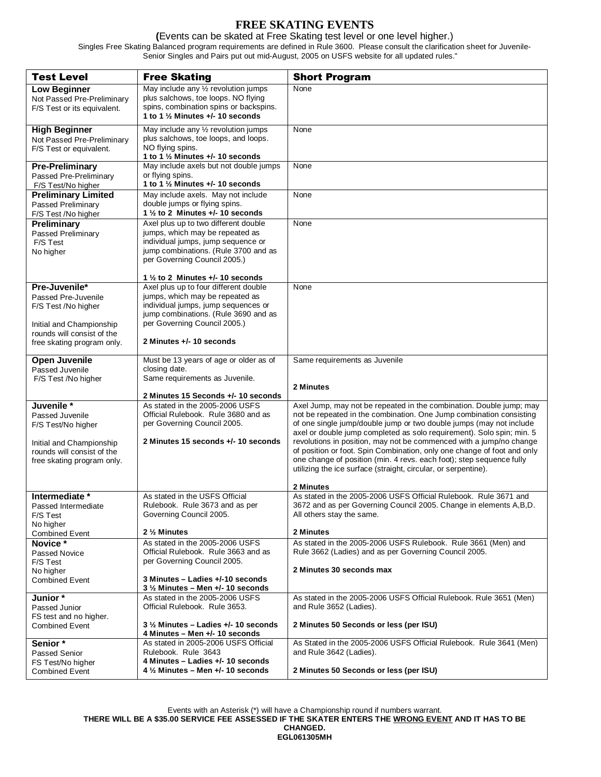### **FREE SKATING EVENTS**

#### **(**Events can be skated at Free Skating test level or one level higher.)

Singles Free Skating Balanced program requirements are defined in Rule 3600. Please consult the clarification sheet for Juvenile-Senior Singles and Pairs put out mid-August, 2005 on USFS website for all updated rules."

| <b>Test Level</b>                                                                                                                                   | <b>Free Skating</b>                                                                                                                                                                                                                                                | <b>Short Program</b>                                                                                                                                                                                                                                                                                                                                                                                                                                                                                                                                                                                |
|-----------------------------------------------------------------------------------------------------------------------------------------------------|--------------------------------------------------------------------------------------------------------------------------------------------------------------------------------------------------------------------------------------------------------------------|-----------------------------------------------------------------------------------------------------------------------------------------------------------------------------------------------------------------------------------------------------------------------------------------------------------------------------------------------------------------------------------------------------------------------------------------------------------------------------------------------------------------------------------------------------------------------------------------------------|
| <b>Low Beginner</b><br>Not Passed Pre-Preliminary<br>F/S Test or its equivalent.                                                                    | May include any 1/2 revolution jumps<br>plus salchows, toe loops. NO flying<br>spins, combination spins or backspins.<br>1 to 1 $\frac{1}{2}$ Minutes $+/-$ 10 seconds                                                                                             | None                                                                                                                                                                                                                                                                                                                                                                                                                                                                                                                                                                                                |
| <b>High Beginner</b><br>Not Passed Pre-Preliminary<br>F/S Test or equivalent.                                                                       | May include any $\frac{1}{2}$ revolution jumps<br>plus salchows, toe loops, and loops.<br>NO flying spins.<br>1 to 1 $\frac{1}{2}$ Minutes +/- 10 seconds                                                                                                          | None                                                                                                                                                                                                                                                                                                                                                                                                                                                                                                                                                                                                |
| <b>Pre-Preliminary</b><br>Passed Pre-Preliminary<br>F/S Test/No higher                                                                              | May include axels but not double jumps<br>or flying spins.<br>1 to 1 $\frac{1}{2}$ Minutes $+/-$ 10 seconds                                                                                                                                                        | None                                                                                                                                                                                                                                                                                                                                                                                                                                                                                                                                                                                                |
| <b>Preliminary Limited</b><br>Passed Preliminary<br>F/S Test /No higher                                                                             | May include axels. May not include<br>double jumps or flying spins.<br>1 $\frac{1}{2}$ to 2 Minutes +/- 10 seconds                                                                                                                                                 | None                                                                                                                                                                                                                                                                                                                                                                                                                                                                                                                                                                                                |
| Preliminary<br>Passed Preliminary<br>F/S Test<br>No higher                                                                                          | Axel plus up to two different double<br>jumps, which may be repeated as<br>individual jumps, jump sequence or<br>jump combinations. (Rule 3700 and as<br>per Governing Council 2005.)                                                                              | None                                                                                                                                                                                                                                                                                                                                                                                                                                                                                                                                                                                                |
| Pre-Juvenile*<br>Passed Pre-Juvenile<br>F/S Test /No higher<br>Initial and Championship<br>rounds will consist of the<br>free skating program only. | 1 $\frac{1}{2}$ to 2 Minutes +/- 10 seconds<br>Axel plus up to four different double<br>jumps, which may be repeated as<br>individual jumps, jump sequences or<br>jump combinations. (Rule 3690 and as<br>per Governing Council 2005.)<br>2 Minutes +/- 10 seconds | None                                                                                                                                                                                                                                                                                                                                                                                                                                                                                                                                                                                                |
| <b>Open Juvenile</b><br>Passed Juvenile<br>F/S Test /No higher                                                                                      | Must be 13 years of age or older as of<br>closing date.<br>Same requirements as Juvenile.<br>2 Minutes 15 Seconds +/- 10 seconds                                                                                                                                   | Same requirements as Juvenile<br>2 Minutes                                                                                                                                                                                                                                                                                                                                                                                                                                                                                                                                                          |
| Juvenile *<br>Passed Juvenile<br>F/S Test/No higher<br>Initial and Championship<br>rounds will consist of the<br>free skating program only.         | As stated in the 2005-2006 USFS<br>Official Rulebook. Rule 3680 and as<br>per Governing Council 2005.<br>2 Minutes 15 seconds +/- 10 seconds                                                                                                                       | Axel Jump, may not be repeated in the combination. Double jump; may<br>not be repeated in the combination. One Jump combination consisting<br>of one single jump/double jump or two double jumps (may not include<br>axel or double jump completed as solo requirement). Solo spin; min. 5<br>revolutions in position, may not be commenced with a jump/no change<br>of position or foot. Spin Combination, only one change of foot and only<br>one change of position (min. 4 revs. each foot); step sequence fully<br>utilizing the ice surface (straight, circular, or serpentine).<br>2 Minutes |
| Intermediate *<br>Passed Intermediate<br>F/S Test<br>No higher<br><b>Combined Event</b>                                                             | As stated in the USFS Official<br>Rulebook. Rule 3673 and as per<br>Governing Council 2005.<br>2 1/2 Minutes                                                                                                                                                       | As stated in the 2005-2006 USFS Official Rulebook. Rule 3671 and<br>3672 and as per Governing Council 2005. Change in elements A, B, D.<br>All others stay the same.<br>2 Minutes                                                                                                                                                                                                                                                                                                                                                                                                                   |
| Novice *<br>Passed Novice<br>F/S Test<br>No higher<br><b>Combined Event</b>                                                                         | As stated in the 2005-2006 USFS<br>Official Rulebook. Rule 3663 and as<br>per Governing Council 2005.<br>3 Minutes - Ladies +/-10 seconds<br>$3\,\%$ Minutes – Men +/- 10 seconds                                                                                  | As stated in the 2005-2006 USFS Rulebook. Rule 3661 (Men) and<br>Rule 3662 (Ladies) and as per Governing Council 2005.<br>2 Minutes 30 seconds max                                                                                                                                                                                                                                                                                                                                                                                                                                                  |
| Junior *<br>Passed Junior<br>FS test and no higher.<br><b>Combined Event</b>                                                                        | As stated in the 2005-2006 USFS<br>Official Rulebook. Rule 3653.<br>$3\frac{1}{2}$ Minutes - Ladies +/- 10 seconds<br>4 Minutes – Men +/- 10 seconds                                                                                                               | As stated in the 2005-2006 USFS Official Rulebook. Rule 3651 (Men)<br>and Rule 3652 (Ladies).<br>2 Minutes 50 Seconds or less (per ISU)                                                                                                                                                                                                                                                                                                                                                                                                                                                             |
| Senior *<br><b>Passed Senior</b><br>FS Test/No higher<br><b>Combined Event</b>                                                                      | As stated in 2005-2006 USFS Official<br>Rulebook. Rule 3643<br>4 Minutes - Ladies +/- 10 seconds<br>$4\frac{1}{2}$ Minutes – Men +/- 10 seconds                                                                                                                    | As Stated in the 2005-2006 USFS Official Rulebook. Rule 3641 (Men)<br>and Rule 3642 (Ladies).<br>2 Minutes 50 Seconds or less (per ISU)                                                                                                                                                                                                                                                                                                                                                                                                                                                             |